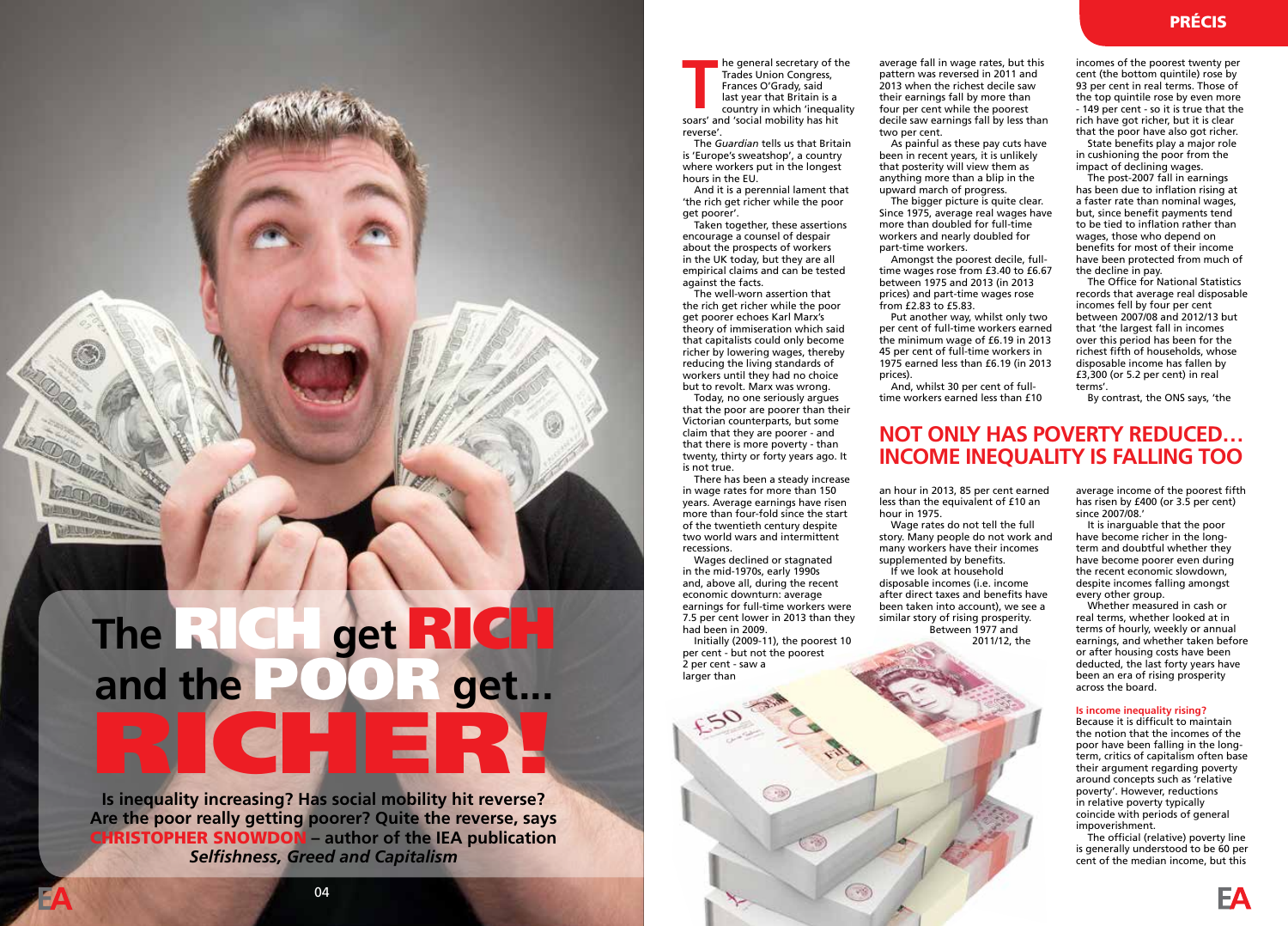he general secretary of the Trades Union Congress, Frances O'Grady, said last year that Britain is a country in which 'inequality **Solution** Frances O'Grady, said<br>Frances O'Grady, said<br>last year that Britain is a<br>country in which 'inequal<br>soars' and 'social mobility has hit reverse'.

The *Guardian* tells us that Britain is 'Europe's sweatshop', a country where workers put in the longest hours in the EU.

And it is a perennial lament that 'the rich get richer while the poor get poorer'.

Taken together, these assertions encourage a counsel of despair about the prospects of workers in the UK today, but they are all empirical claims and can be tested against the facts.

The well-worn assertion that the rich get richer while the poor get poorer echoes Karl Marx's theory of immiseration which said that capitalists could only become richer by lowering wages, thereby reducing the living standards of workers until they had no choice but to revolt. Marx was wrong.

Today, no one seriously argues that the poor are poorer than their Victorian counterparts, but some claim that they are poorer - and that there is more poverty - than twenty, thirty or forty years ago. It is not true.

There has been a steady increase in wage rates for more than 150 years. Average earnings have risen more than four-fold since the start of the twentieth century despite two world wars and intermittent recessions.

Wages declined or stagnated in the mid-1970s, early 1990s and, above all, during the recent economic downturn: average earnings for full-time workers were 7.5 per cent lower in 2013 than they had been in 2009.

Initially (2009-11), the poorest 10 per cent - but not the poorest 2 per cent - saw a larger than

average fall in wage rates, but this pattern was reversed in 2011 and 2013 when the richest decile saw their earnings fall by more than four per cent while the poorest decile saw earnings fall by less than two per cent.

As painful as these pay cuts have been in recent years, it is unlikely that posterity will view them as anything more than a blip in the upward march of progress.

The bigger picture is quite clear. Since 1975, average real wages have more than doubled for full-time workers and nearly doubled for part-time workers.

Amongst the poorest decile, fulltime wages rose from £3.40 to £6.67 between 1975 and 2013 (in 2013 prices) and part-time wages rose from £2.83 to £5.83.

Put another way, whilst only two per cent of full-time workers earned the minimum wage of £6.19 in 2013 45 per cent of full-time workers in 1975 earned less than £6.19 (in 2013 prices).

And, whilst 30 per cent of fulltime workers earned less than £10 incomes of the poorest twenty per cent (the bottom quintile) rose by 93 per cent in real terms. Those of the top quintile rose by even more - 149 per cent - so it is true that the rich have got richer, but it is clear that the poor have also got richer.

State benefits play a major role in cushioning the poor from the impact of declining wages.

The post-2007 fall in earnings has been due to inflation rising at a faster rate than nominal wages, but, since benefit payments tend to be tied to inflation rather than wages, those who depend on benefits for most of their income have been protected from much of the decline in pay.

The Office for National Statistics records that average real disposable incomes fell by four per cent between 2007/08 and 2012/13 but that 'the largest fall in incomes over this period has been for the richest fifth of households, whose disposable income has fallen by £3,300 (or 5.2 per cent) in real terms'.

By contrast, the ONS says, 'the

## **NOT ONLY HAS POVERTY REDUCED… INCOME INEQUALITY IS FALLING TOO**

an hour in 2013, 85 per cent earned less than the equivalent of £10 an hour in 1975.

Wage rates do not tell the full story. Many people do not work and many workers have their incomes supplemented by benefits.

If we look at household disposable incomes (i.e. income after direct taxes and benefits have been taken into account), we see a similar story of rising prosperity. Between 1977 and 2011/12, the

since 2007/08.' It is inarguable that the poor have become richer in the long-

average income of the poorest fifth has risen by £400 (or 3.5 per cent)

term and doubtful whether they have become poorer even during the recent economic slowdown, despite incomes falling amongst every other group.

Whether measured in cash or real terms, whether looked at in terms of hourly, weekly or annual earnings, and whether taken before or after housing costs have been deducted, the last forty years have been an era of rising prosperity across the board.

## **Is income inequality rising?**

Because it is difficult to maintain the notion that the incomes of the poor have been falling in the longterm, critics of capitalism often base their argument regarding poverty around concepts such as 'relative poverty'. However, reductions in relative poverty typically coincide with periods of general impoverishment.

The official (relative) poverty line is generally understood to be 60 per cent of the median income, but this

**Is inequality increasing? Has social mobility hit reverse? Are the poor really getting poorer? Quite the reverse, says**  CHRISTOPHER SNOWDON **– author of the IEA publication**  *Selfishness, Greed and Capitalism*

The RICH get RI

**RICH** 

and the **POOR** get